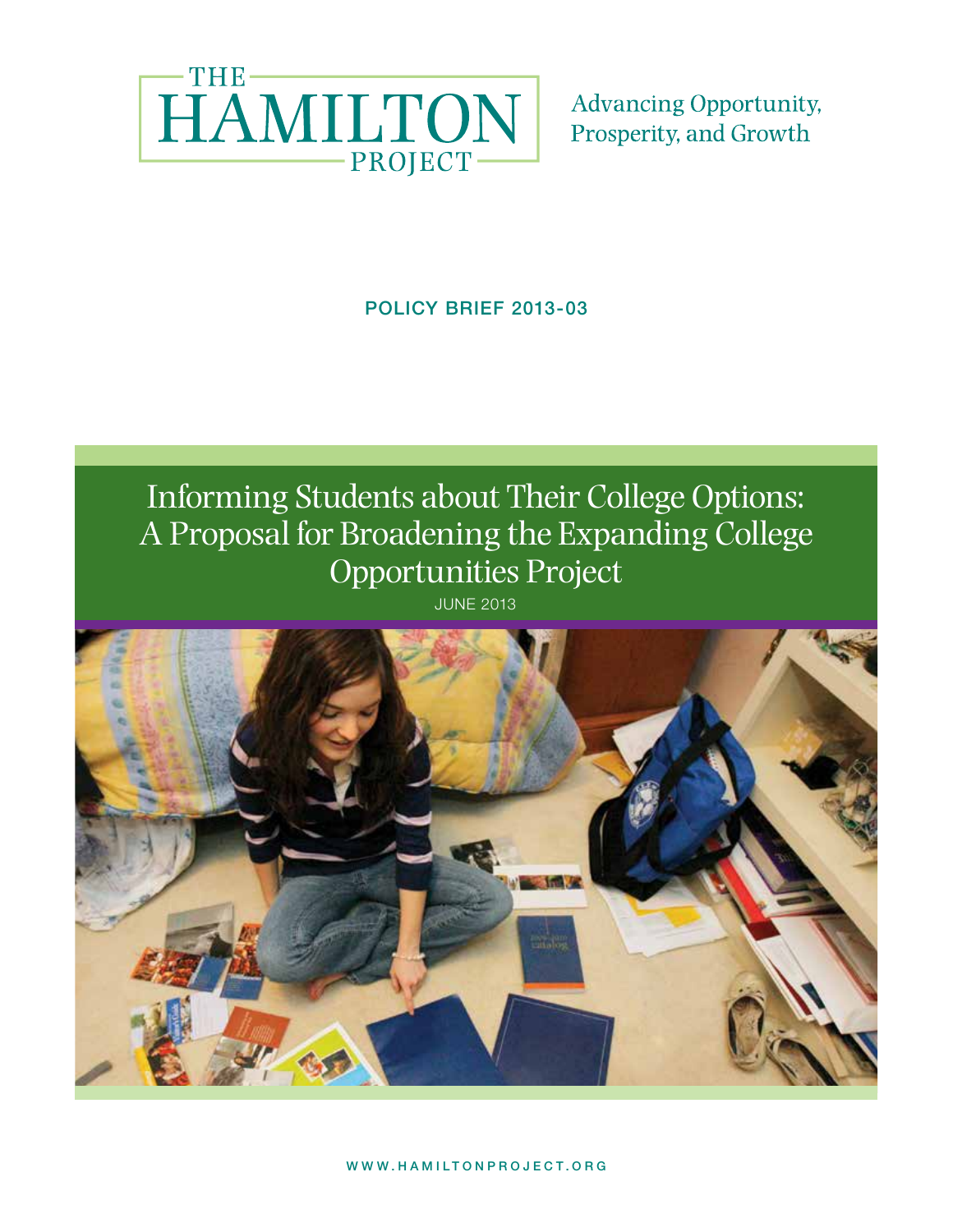

**Advancing Opportunity,** Prosperity, and Growth

POLICY BRIEF 2013-03

# Informing Students about Their College Options: A Proposal for Broadening the Expanding College Opportunities Project

JUNE 2013

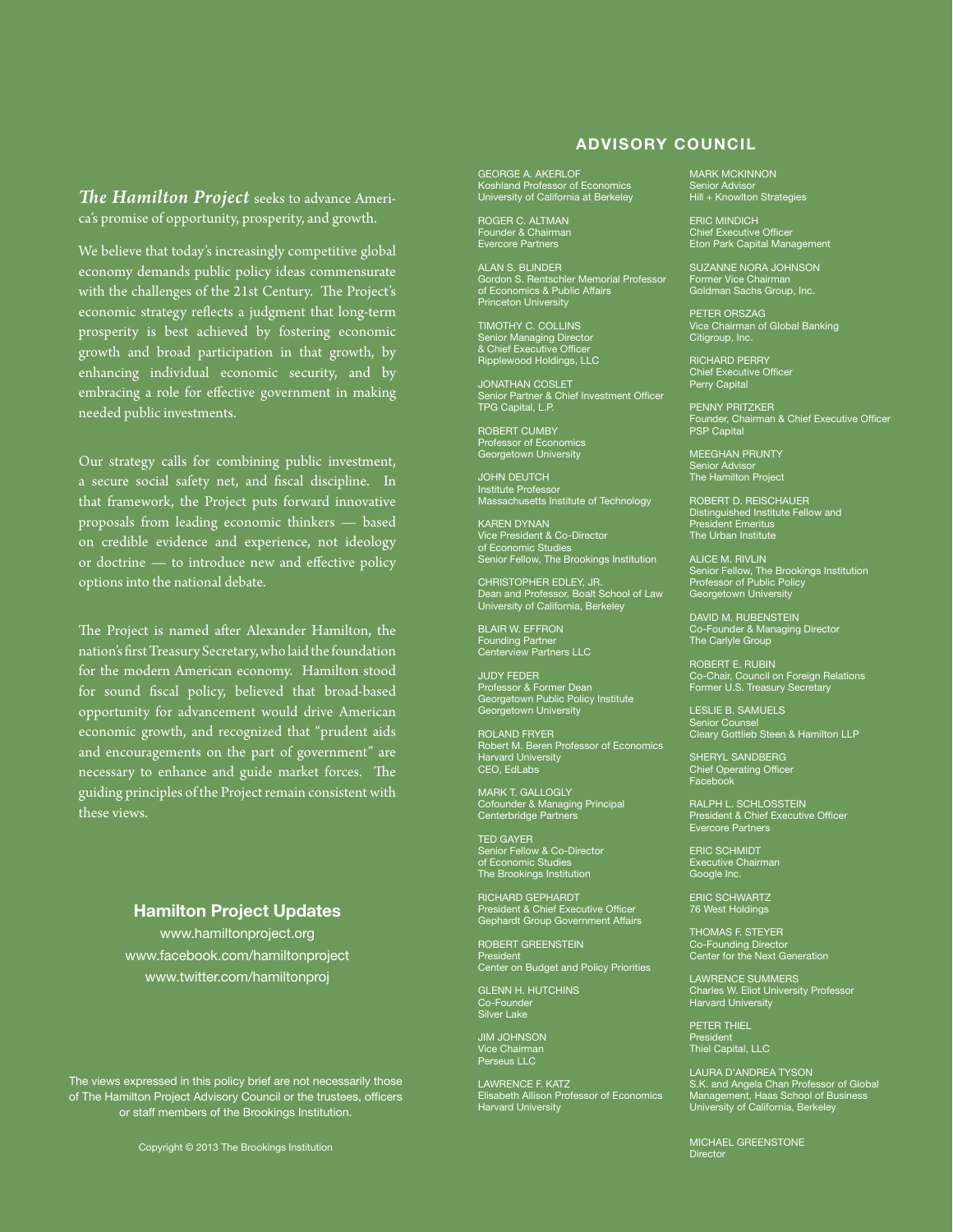### *The Hamilton Project* seeks to advance America's promise of opportunity, prosperity, and growth.

We believe that today's increasingly competitive global economy demands public policy ideas commensurate with the challenges of the 21st Century. The Project's economic strategy reflects a judgment that long-term prosperity is best achieved by fostering economic growth and broad participation in that growth, by enhancing individual economic security, and by embracing a role for effective government in making needed public investments.

Our strategy calls for combining public investment, a secure social safety net, and fiscal discipline. In that framework, the Project puts forward innovative proposals from leading economic thinkers — based on credible evidence and experience, not ideology or doctrine — to introduce new and effective policy options into the national debate.

The Project is named after Alexander Hamilton, the nation's first Treasury Secretary, who laid the foundation for the modern American economy. Hamilton stood for sound fiscal policy, believed that broad-based opportunity for advancement would drive American economic growth, and recognized that "prudent aids and encouragements on the part of government" are necessary to enhance and guide market forces. The guiding principles of the Project remain consistent with these views.

#### Hamilton Project Updates

www.hamiltonproject.org www.facebook.com/hamiltonproject www.twitter.com/hamiltonproj

The views expressed in this policy brief are not necessarily those The views expressed in this policy brief are not necessarily those of The Hamilton Project Advisory Council or the trustees, officers of The Hamilton Project Advisory Council or the trustees, officers or staff members of the Brookings Institution. or staff members of the Brookings Institution.

### Advisory Council

GEORGE A. AKERLOF<br>Koshland Professor of Economics<br>University of California at Berkeley

Roger C. Altman Founder & Chairman Evercore Partners

Alan S. Blinder Gordon S. Rentschler Memorial Professor of Economics & Public Affairs Princeton University

Timothy C. Collins Senior Managing Director & Chief Executive Officer Ripplewood Holdings, LLC

Jonathan Coslet Senior Partner & Chief Investment Officer TPG Capital, L.P.

ROBERT CUMBY Professor of Economics Georgetown University

John Deutch Institute Professor Massachusetts Institute of Technology

Karen Dynan Vice President & Co-Director of Economic Studies Senior Fellow, The Brookings Institution

CHRISTOPHER EDLEY, JR. Dean and Professor, Boalt School of Law University of California, Berkeley

Blair W. Effron Founding Partner Centerview Partners LLC

Judy Feder Professor & Former Dean Georgetown Public Policy Institute Georgetown University

ROLAND FRYER<br>Robert M. Beren Professor of Economics<br>Harvard University<br>CEO, EdLabs

MARK T. GALLOGLY<br>Cofounder & Managing Principal<br>Centerbridge Partners

TED GAYER<br>Senior Fellow & Co-Director<br>of Economic Studies<br>The Brookings Institution

RICHARD GEPHARDT<br>President & Chief Executive Officer<br>Gephardt Group Government Affairs

Robert Greenstein President Center on Budget and Policy Priorities

**GLENN H. HUTCHINS** Co-Founder Silver Lake

Jim Johnson Vice Chairman Perseus LLC

LAWRENCE F. KATZ<br>Elisabeth Allison Professor of Economics<br>Harvard University

Mark McKinnon Senior Advisor Hill + Knowlton Strategies

Eric Mindich Chief Executive Officer Eton Park Capital Management

Suzanne Nora Johnson Former Vice Chairman Goldman Sachs Group, Inc.

Peter Orszag Vice Chairman of Global Banking Citigroup, Inc.

Richard Perry Chief Executive Officer Perry Capital

Penny Pritzker Founder, Chairman & Chief Executive Officer PSP Capital

Meeghan Prunty Senior Advisor The Hamilton Project

ROBERT D. REISCHAUER<br>Distinguished Institute Fellow and<br>President Emeritus<br>The Urban Institute

Alice M. Rivlin Senior Fellow, The Brookings Institution Professor of Public Policy Georgetown University

DAVID M. RUBENSTEIN<br>Co-Founder & Managing Director<br>The Carlyle Group

ROBERT E. RUBIN<br>Co-Chair, Council on Foreign Relations<br>Former U.S. Treasury Secretary

Leslie B. Samuels Senior Counsel Cleary Gottlieb Steen & Hamilton LLP

SHERYL SANDBERG<br>Chief Operating Officer<br>Facebook

Ralph L. Schlosstein President & Chief Executive Officer Evercore Partners

ERIC SCHMIDT<br>Executive Chairman<br>Google Inc.

ERIC SCHWARTZ<br>76 West Holdings

Thomas F. Steyer Co-Founding Director Center for the Next Generation

LAWRENCE SUMMERS<br>Charles W. Eliot University Professor<br>Harvard University

Peter Thiel President Thiel Capital, LLC

LAURA D'ANDREA TYSON S.K. and Angela Chan Professor of Global Management, Haas School of Business University of California, Berkeley

MICHAEL GREENSTONE<br>Director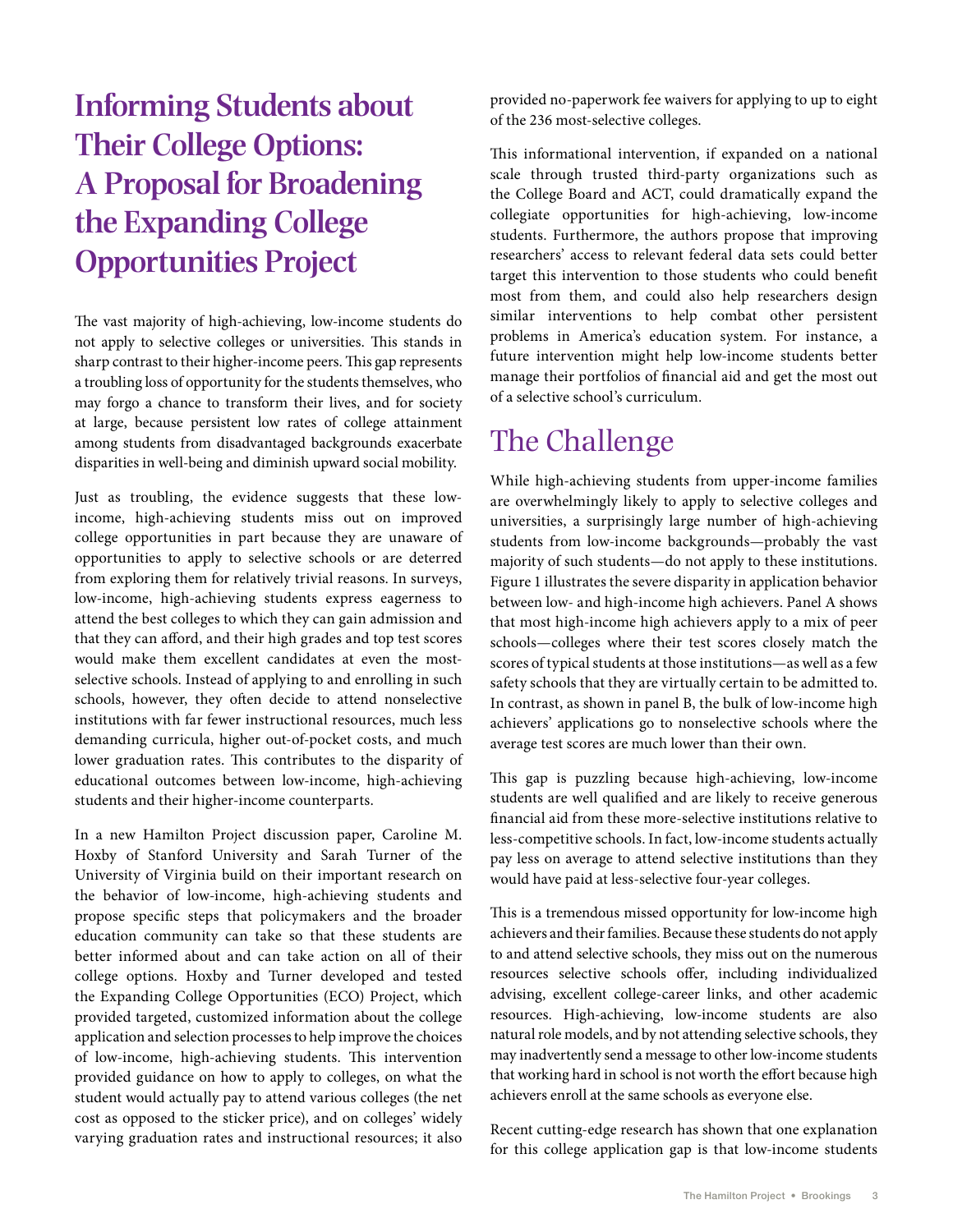# **Informing Students about Their College Options: A Proposal for Broadening the Expanding College Opportunities Project**

The vast majority of high-achieving, low-income students do not apply to selective colleges or universities. This stands in sharp contrast to their higher-income peers. This gap represents a troubling loss of opportunity for the students themselves, who may forgo a chance to transform their lives, and for society at large, because persistent low rates of college attainment among students from disadvantaged backgrounds exacerbate disparities in well-being and diminish upward social mobility.

Just as troubling, the evidence suggests that these lowincome, high-achieving students miss out on improved college opportunities in part because they are unaware of opportunities to apply to selective schools or are deterred from exploring them for relatively trivial reasons. In surveys, low-income, high-achieving students express eagerness to attend the best colleges to which they can gain admission and that they can afford, and their high grades and top test scores would make them excellent candidates at even the mostselective schools. Instead of applying to and enrolling in such schools, however, they often decide to attend nonselective institutions with far fewer instructional resources, much less demanding curricula, higher out-of-pocket costs, and much lower graduation rates. This contributes to the disparity of educational outcomes between low-income, high-achieving students and their higher-income counterparts.

In a new Hamilton Project discussion paper, Caroline M. Hoxby of Stanford University and Sarah Turner of the University of Virginia build on their important research on the behavior of low-income, high-achieving students and propose specific steps that policymakers and the broader education community can take so that these students are better informed about and can take action on all of their college options. Hoxby and Turner developed and tested the Expanding College Opportunities (ECO) Project, which provided targeted, customized information about the college application and selection processes to help improve the choices of low-income, high-achieving students. This intervention provided guidance on how to apply to colleges, on what the student would actually pay to attend various colleges (the net cost as opposed to the sticker price), and on colleges' widely varying graduation rates and instructional resources; it also provided no-paperwork fee waivers for applying to up to eight of the 236 most-selective colleges.

This informational intervention, if expanded on a national scale through trusted third-party organizations such as the College Board and ACT, could dramatically expand the collegiate opportunities for high-achieving, low-income students. Furthermore, the authors propose that improving researchers' access to relevant federal data sets could better target this intervention to those students who could benefit most from them, and could also help researchers design similar interventions to help combat other persistent problems in America's education system. For instance, a future intervention might help low-income students better manage their portfolios of financial aid and get the most out of a selective school's curriculum.

# The Challenge

While high-achieving students from upper-income families are overwhelmingly likely to apply to selective colleges and universities, a surprisingly large number of high-achieving students from low-income backgrounds—probably the vast majority of such students—do not apply to these institutions. Figure 1 illustrates the severe disparity in application behavior between low- and high-income high achievers. Panel A shows that most high-income high achievers apply to a mix of peer schools—colleges where their test scores closely match the scores of typical students at those institutions—as well as a few safety schools that they are virtually certain to be admitted to. In contrast, as shown in panel B, the bulk of low-income high achievers' applications go to nonselective schools where the average test scores are much lower than their own.

This gap is puzzling because high-achieving, low-income students are well qualified and are likely to receive generous financial aid from these more-selective institutions relative to less-competitive schools. In fact, low-income students actually pay less on average to attend selective institutions than they would have paid at less-selective four-year colleges.

This is a tremendous missed opportunity for low-income high achievers and their families. Because these students do not apply to and attend selective schools, they miss out on the numerous resources selective schools offer, including individualized advising, excellent college-career links, and other academic resources. High-achieving, low-income students are also natural role models, and by not attending selective schools, they may inadvertently send a message to other low-income students that working hard in school is not worth the effort because high achievers enroll at the same schools as everyone else.

Recent cutting-edge research has shown that one explanation for this college application gap is that low-income students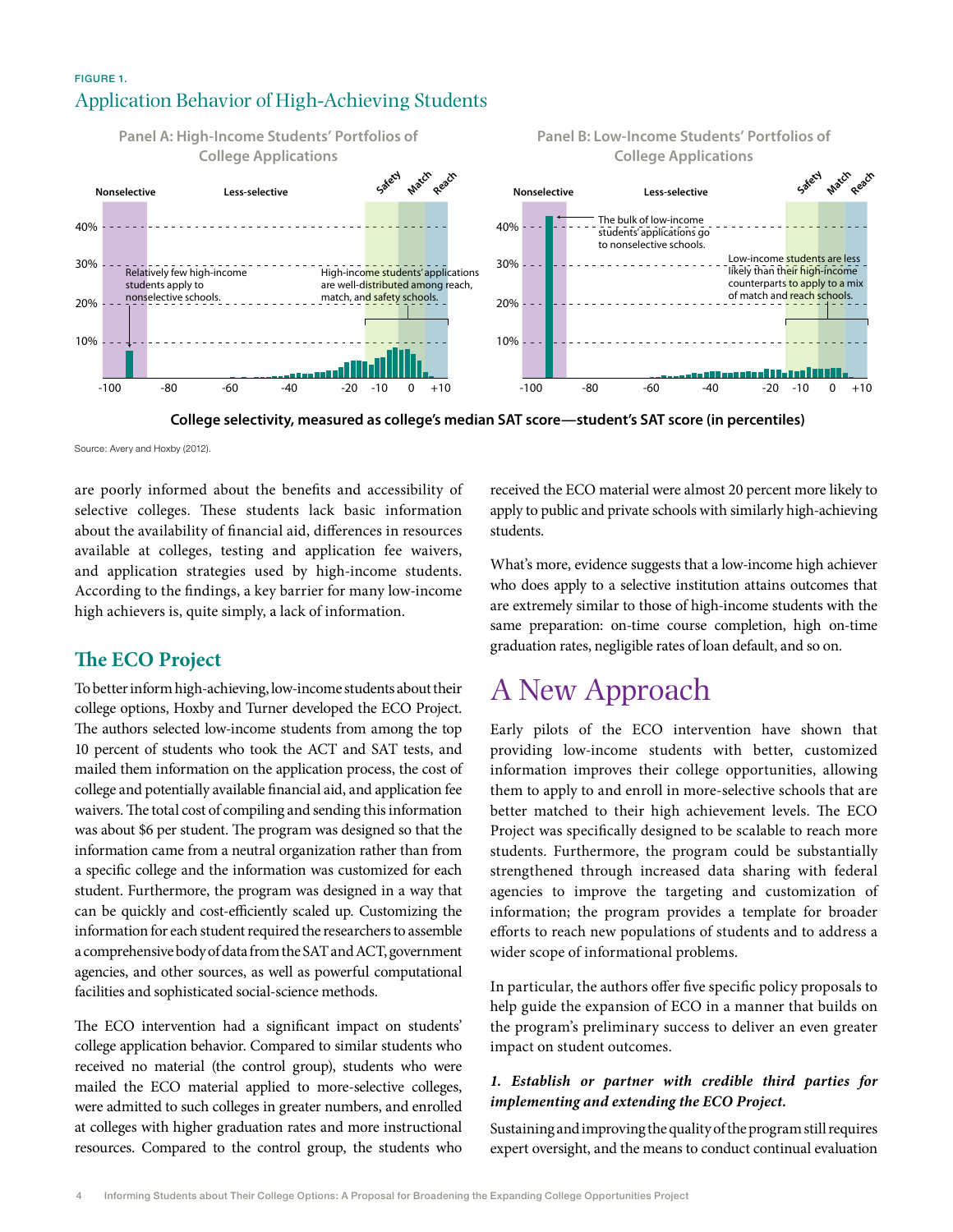### Figure 1. Application Behavior of High-Achieving Students



**College selectivity, measured as college's median SAT score—student's SAT score (in percentiles)**

Source: Avery and Hoxby (2012).

are poorly informed about the benefits and accessibility of selective colleges. These students lack basic information about the availability of financial aid, differences in resources available at colleges, testing and application fee waivers, and application strategies used by high-income students. According to the findings, a key barrier for many low-income high achievers is, quite simply, a lack of information.

### **The ECO Project**

To better inform high-achieving, low-income students about their college options, Hoxby and Turner developed the ECO Project. The authors selected low-income students from among the top 10 percent of students who took the ACT and SAT tests, and mailed them information on the application process, the cost of college and potentially available financial aid, and application fee waivers. The total cost of compiling and sending this information was about \$6 per student. The program was designed so that the information came from a neutral organization rather than from a specific college and the information was customized for each student. Furthermore, the program was designed in a way that can be quickly and cost-efficiently scaled up. Customizing the information for each student required the researchers to assemble a comprehensive body of data from the SAT and ACT, government agencies, and other sources, as well as powerful computational facilities and sophisticated social-science methods.

The ECO intervention had a significant impact on students' college application behavior. Compared to similar students who received no material (the control group), students who were mailed the ECO material applied to more-selective colleges, were admitted to such colleges in greater numbers, and enrolled at colleges with higher graduation rates and more instructional resources. Compared to the control group, the students who received the ECO material were almost 20 percent more likely to apply to public and private schools with similarly high-achieving students.

What's more, evidence suggests that a low-income high achiever who does apply to a selective institution attains outcomes that are extremely similar to those of high-income students with the same preparation: on-time course completion, high on-time graduation rates, negligible rates of loan default, and so on.

# A New Approach

Early pilots of the ECO intervention have shown that providing low-income students with better, customized information improves their college opportunities, allowing them to apply to and enroll in more-selective schools that are better matched to their high achievement levels. The ECO Project was specifically designed to be scalable to reach more students. Furthermore, the program could be substantially strengthened through increased data sharing with federal agencies to improve the targeting and customization of information; the program provides a template for broader efforts to reach new populations of students and to address a wider scope of informational problems.

In particular, the authors offer five specific policy proposals to help guide the expansion of ECO in a manner that builds on the program's preliminary success to deliver an even greater impact on student outcomes.

#### *1. Establish or partner with credible third parties for implementing and extending the ECO Project.*

Sustaining and improving the quality of the program still requires expert oversight, and the means to conduct continual evaluation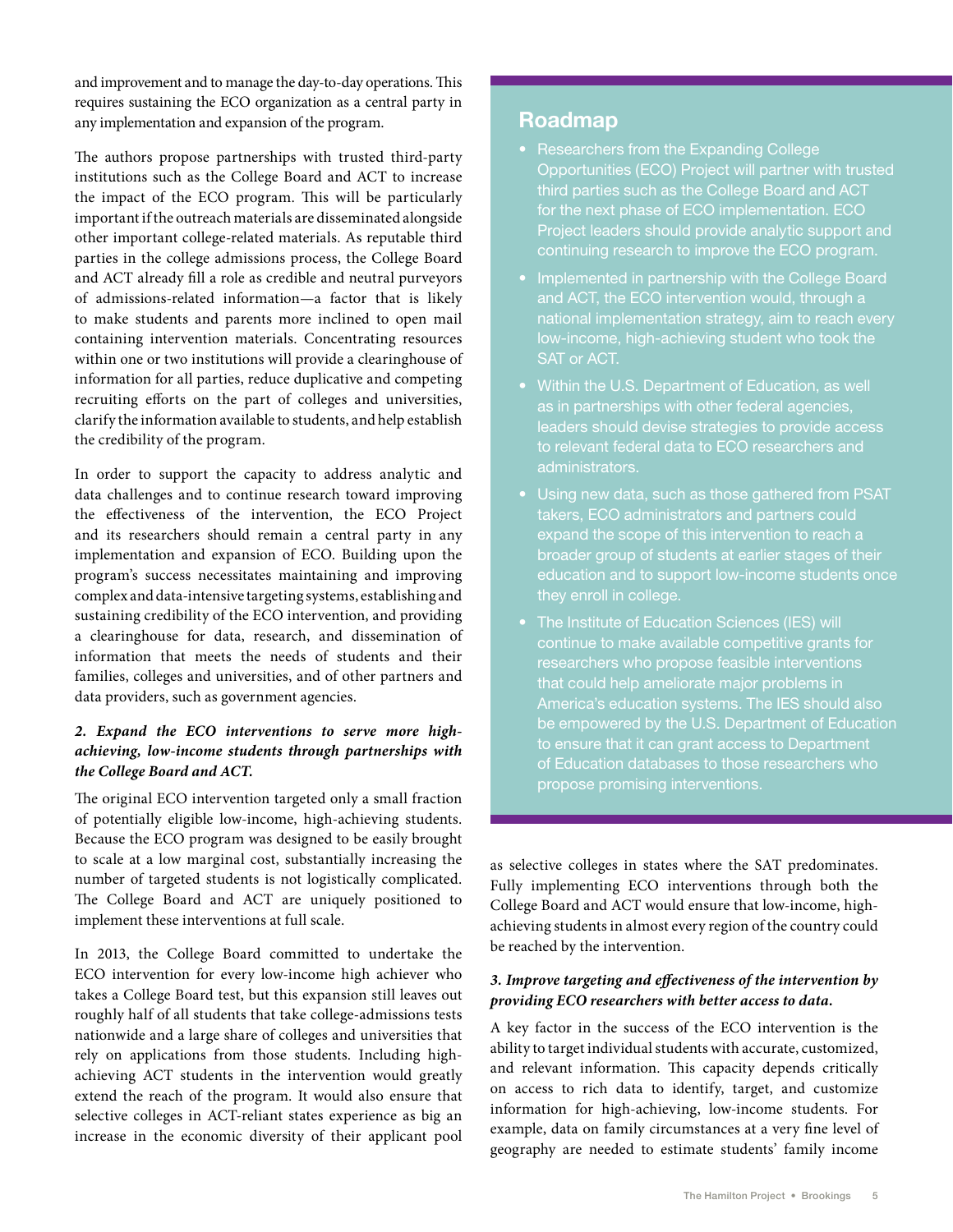and improvement and to manage the day-to-day operations. This requires sustaining the ECO organization as a central party in any implementation and expansion of the program.

The authors propose partnerships with trusted third-party institutions such as the College Board and ACT to increase the impact of the ECO program. This will be particularly important if the outreach materials are disseminated alongside other important college-related materials. As reputable third parties in the college admissions process, the College Board and ACT already fill a role as credible and neutral purveyors of admissions-related information—a factor that is likely to make students and parents more inclined to open mail containing intervention materials. Concentrating resources within one or two institutions will provide a clearinghouse of information for all parties, reduce duplicative and competing recruiting efforts on the part of colleges and universities, clarify the information available to students, and help establish the credibility of the program.

In order to support the capacity to address analytic and data challenges and to continue research toward improving the effectiveness of the intervention, the ECO Project and its researchers should remain a central party in any implementation and expansion of ECO. Building upon the program's success necessitates maintaining and improving complex and data-intensive targeting systems, establishing and sustaining credibility of the ECO intervention, and providing a clearinghouse for data, research, and dissemination of information that meets the needs of students and their families, colleges and universities, and of other partners and data providers, such as government agencies.

#### *2. Expand the ECO interventions to serve more highachieving, low-income students through partnerships with the College Board and ACT.*

The original ECO intervention targeted only a small fraction of potentially eligible low-income, high-achieving students. Because the ECO program was designed to be easily brought to scale at a low marginal cost, substantially increasing the number of targeted students is not logistically complicated. The College Board and ACT are uniquely positioned to implement these interventions at full scale.

In 2013, the College Board committed to undertake the ECO intervention for every low-income high achiever who takes a College Board test, but this expansion still leaves out roughly half of all students that take college-admissions tests nationwide and a large share of colleges and universities that rely on applications from those students. Including highachieving ACT students in the intervention would greatly extend the reach of the program. It would also ensure that selective colleges in ACT-reliant states experience as big an increase in the economic diversity of their applicant pool

### **Roadmap**

- Researchers from the Expanding College Opportunities (ECO) Project will partner with trusted third parties such as the College Board and ACT for the next phase of ECO implementation. ECO Project leaders should provide analytic support and
- Implemented in partnership with the College Board and ACT, the ECO intervention would, through a national implementation strategy, aim to reach every low-income, high-achieving student who took the SAT or ACT.
- Within the U.S. Department of Education, as well as in partnerships with other federal agencies, leaders should devise strategies to provide access to relevant federal data to ECO researchers and administrators.
- takers, ECO administrators and partners could broader group of students at earlier stages of their education and to support low-income students once they enroll in college.
- The Institute of Education Sciences (IES) will continue to make available competitive grants for researchers who propose feasible interventions America's education systems. The IES should also be empowered by the U.S. Department of Education to ensure that it can grant access to Department propose promising interventions.

as selective colleges in states where the SAT predominates. Fully implementing ECO interventions through both the College Board and ACT would ensure that low-income, highachieving students in almost every region of the country could be reached by the intervention.

#### *3. Improve targeting and effectiveness of the intervention by providing ECO researchers with better access to data.*

A key factor in the success of the ECO intervention is the ability to target individual students with accurate, customized, and relevant information. This capacity depends critically on access to rich data to identify, target, and customize information for high-achieving, low-income students. For example, data on family circumstances at a very fine level of geography are needed to estimate students' family income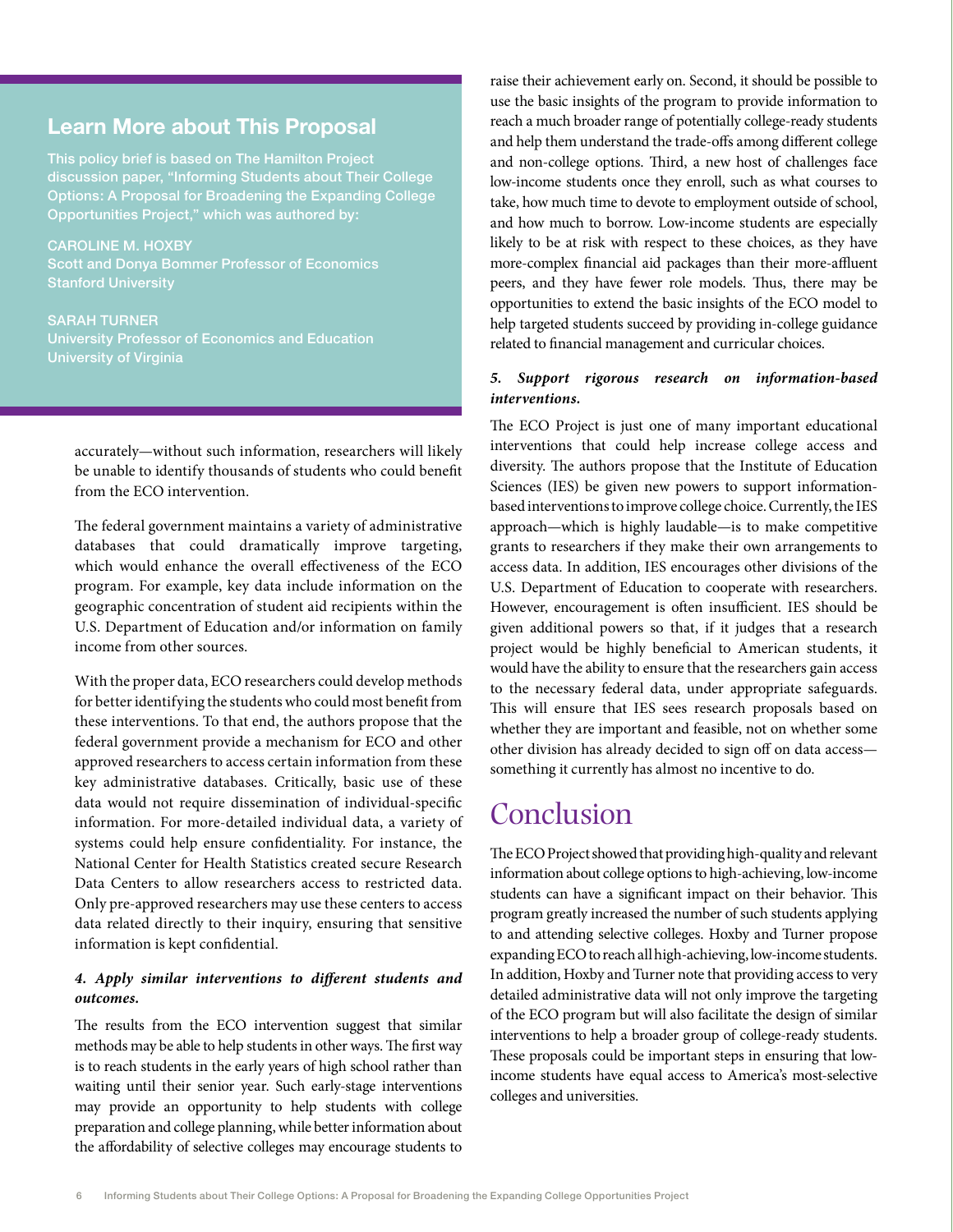### **Learn More about This Proposal**

This policy brief is based on The Hamilton Project discussion paper, "Informing Students about Their College Options: A Proposal for Broadening the Expanding College Opportunities Project," which was authored by:

Caroline M. Hoxby Scott and Donya Bommer Professor of Economics

Sarah Turner University of Virginia

accurately—without such information, researchers will likely be unable to identify thousands of students who could benefit from the ECO intervention.

The federal government maintains a variety of administrative databases that could dramatically improve targeting, which would enhance the overall effectiveness of the ECO program. For example, key data include information on the geographic concentration of student aid recipients within the U.S. Department of Education and/or information on family income from other sources.

With the proper data, ECO researchers could develop methods for better identifying the students who could most benefit from these interventions. To that end, the authors propose that the federal government provide a mechanism for ECO and other approved researchers to access certain information from these key administrative databases. Critically, basic use of these data would not require dissemination of individual-specific information. For more-detailed individual data, a variety of systems could help ensure confidentiality. For instance, the National Center for Health Statistics created secure Research Data Centers to allow researchers access to restricted data. Only pre-approved researchers may use these centers to access data related directly to their inquiry, ensuring that sensitive information is kept confidential.

#### *4. Apply similar interventions to different students and outcomes.*

The results from the ECO intervention suggest that similar methods may be able to help students in other ways. The first way is to reach students in the early years of high school rather than waiting until their senior year. Such early-stage interventions may provide an opportunity to help students with college preparation and college planning, while better information about the affordability of selective colleges may encourage students to

raise their achievement early on. Second, it should be possible to use the basic insights of the program to provide information to reach a much broader range of potentially college-ready students and help them understand the trade-offs among different college and non-college options. Third, a new host of challenges face low-income students once they enroll, such as what courses to take, how much time to devote to employment outside of school, and how much to borrow. Low-income students are especially likely to be at risk with respect to these choices, as they have more-complex financial aid packages than their more-affluent peers, and they have fewer role models. Thus, there may be opportunities to extend the basic insights of the ECO model to help targeted students succeed by providing in-college guidance related to financial management and curricular choices.

#### *5. Support rigorous research on information-based interventions.*

The ECO Project is just one of many important educational interventions that could help increase college access and diversity. The authors propose that the Institute of Education Sciences (IES) be given new powers to support informationbased interventions to improve college choice. Currently, the IES approach—which is highly laudable—is to make competitive grants to researchers if they make their own arrangements to access data. In addition, IES encourages other divisions of the U.S. Department of Education to cooperate with researchers. However, encouragement is often insufficient. IES should be given additional powers so that, if it judges that a research project would be highly beneficial to American students, it would have the ability to ensure that the researchers gain access to the necessary federal data, under appropriate safeguards. This will ensure that IES sees research proposals based on whether they are important and feasible, not on whether some other division has already decided to sign off on data access something it currently has almost no incentive to do.

## Conclusion

The ECO Project showed that providing high-quality and relevant information about college options to high-achieving, low-income students can have a significant impact on their behavior. This program greatly increased the number of such students applying to and attending selective colleges. Hoxby and Turner propose expanding ECO to reach all high-achieving, low-income students. In addition, Hoxby and Turner note that providing access to very detailed administrative data will not only improve the targeting of the ECO program but will also facilitate the design of similar interventions to help a broader group of college-ready students. These proposals could be important steps in ensuring that lowincome students have equal access to America's most-selective colleges and universities.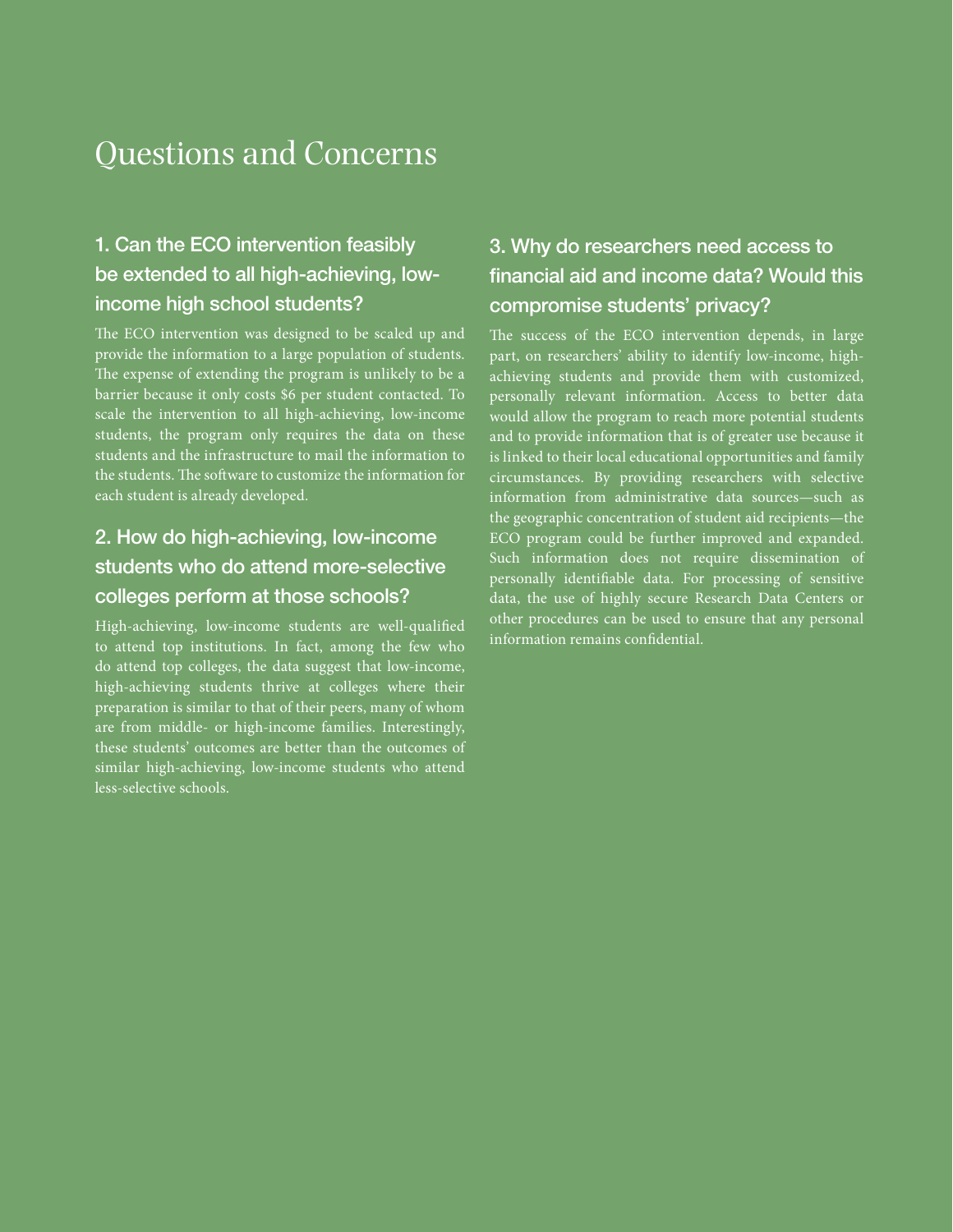# Questions and Concerns

## 1. Can the ECO intervention feasibly be extended to all high-achieving, lowincome high school students?

The ECO intervention was designed to be scaled up and provide the information to a large population of students. The expense of extending the program is unlikely to be a barrier because it only costs \$6 per student contacted. To scale the intervention to all high-achieving, low-income students, the program only requires the data on these students and the infrastructure to mail the information to the students. The software to customize the information for each student is already developed.

## 2. How do high-achieving, low-income students who do attend more-selective colleges perform at those schools?

High-achieving, low-income students are well-qualified to attend top institutions. In fact, among the few who do attend top colleges, the data suggest that low-income, high-achieving students thrive at colleges where their preparation is similar to that of their peers, many of whom are from middle- or high-income families. Interestingly, these students' outcomes are better than the outcomes of similar high-achieving, low-income students who attend less-selective schools.

## 3. Why do researchers need access to financial aid and income data? Would this compromise students' privacy?

The success of the ECO intervention depends, in large part, on researchers' ability to identify low-income, highachieving students and provide them with customized, personally relevant information. Access to better data would allow the program to reach more potential students and to provide information that is of greater use because it is linked to their local educational opportunities and family circumstances. By providing researchers with selective information from administrative data sources—such as the geographic concentration of student aid recipients—the ECO program could be further improved and expanded. Such information does not require dissemination of personally identifiable data. For processing of sensitive data, the use of highly secure Research Data Centers or other procedures can be used to ensure that any personal information remains confidential.